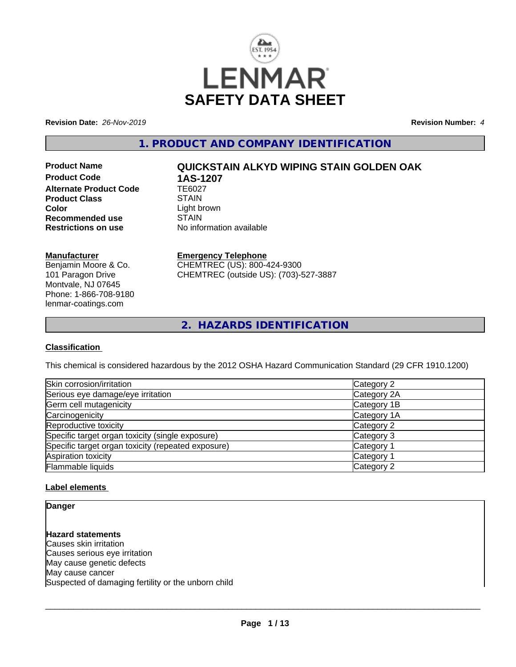

**Revision Date:** *26-Nov-2019* **Revision Number:** *4*

**1. PRODUCT AND COMPANY IDENTIFICATION**

**Product Code 1AS-1207**<br>Alternate Product Code 1E6027 **Alternate Product Code Product Class STAIN Color**<br> **Recommended use**<br>
STAIN **Recommended use**<br>Restrictions on use

# **Product Name QUICKSTAIN ALKYD WIPING STAIN GOLDEN OAK**

**No information available** 

## **Manufacturer**

Benjamin Moore & Co. 101 Paragon Drive Montvale, NJ 07645 Phone: 1-866-708-9180 lenmar-coatings.com

# **Emergency Telephone**

CHEMTREC (US): 800-424-9300 CHEMTREC (outside US): (703)-527-3887

**2. HAZARDS IDENTIFICATION**

### **Classification**

This chemical is considered hazardous by the 2012 OSHA Hazard Communication Standard (29 CFR 1910.1200)

| Skin corrosion/irritation                          | Category 2            |
|----------------------------------------------------|-----------------------|
| Serious eye damage/eye irritation                  | Category 2A           |
| Germ cell mutagenicity                             | Category 1B           |
| Carcinogenicity                                    | Category 1A           |
| Reproductive toxicity                              | Category 2            |
| Specific target organ toxicity (single exposure)   | Category 3            |
| Specific target organ toxicity (repeated exposure) | Category 1            |
| Aspiration toxicity                                | Category <sup>2</sup> |
| Flammable liquids                                  | Category 2            |

# **Label elements**

**Danger**

**Hazard statements** Causes skin irritation Causes serious eye irritation May cause genetic defects May cause cancer Suspected of damaging fertility or the unborn child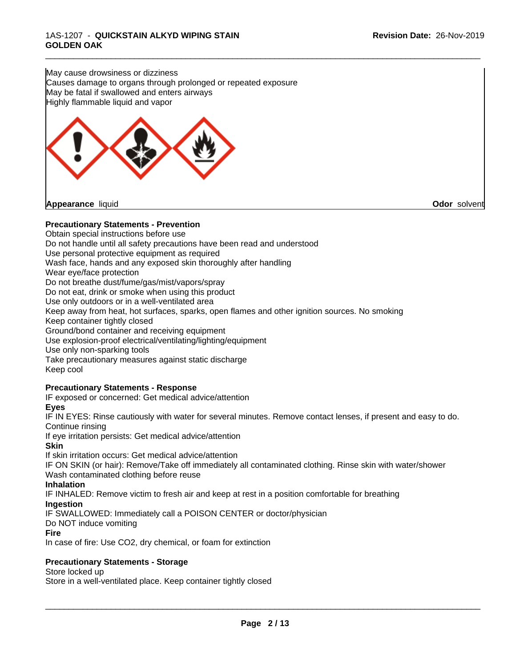May cause drowsiness or dizziness Causes damage to organs through prolonged or repeated exposure May be fatal if swallowed and enters airways Highly flammable liquid and vapor



# **Precautionary Statements - Prevention**

Obtain special instructions before use Do not handle until all safety precautions have been read and understood Use personal protective equipment as required Wash face, hands and any exposed skin thoroughly after handling Wear eye/face protection Do not breathe dust/fume/gas/mist/vapors/spray Do not eat, drink or smoke when using this product Use only outdoors or in a well-ventilated area Keep away from heat, hot surfaces, sparks, open flames and other ignition sources. No smoking Keep container tightly closed Ground/bond container and receiving equipment Use explosion-proof electrical/ventilating/lighting/equipment Use only non-sparking tools Take precautionary measures against static discharge Keep cool **Precautionary Statements - Response**

\_\_\_\_\_\_\_\_\_\_\_\_\_\_\_\_\_\_\_\_\_\_\_\_\_\_\_\_\_\_\_\_\_\_\_\_\_\_\_\_\_\_\_\_\_\_\_\_\_\_\_\_\_\_\_\_\_\_\_\_\_\_\_\_\_\_\_\_\_\_\_\_\_\_\_\_\_\_\_\_\_\_\_\_\_\_\_\_\_\_\_\_\_

IF exposed or concerned: Get medical advice/attention

#### **Eyes**

IF IN EYES: Rinse cautiously with water for several minutes. Remove contact lenses, if present and easy to do. Continue rinsing

If eye irritation persists: Get medical advice/attention

# **Skin**

If skin irritation occurs: Get medical advice/attention

IF ON SKIN (or hair): Remove/Take off immediately all contaminated clothing. Rinse skin with water/shower Wash contaminated clothing before reuse

#### **Inhalation**

IF INHALED: Remove victim to fresh air and keep atrest in a position comfortable for breathing

# **Ingestion**

IF SWALLOWED: Immediately call a POISON CENTER or doctor/physician

#### Do NOT induce vomiting

**Fire**

In case of fire: Use CO2, dry chemical, or foam for extinction

# **Precautionary Statements - Storage**

Store locked up

Store in a well-ventilated place. Keep container tightly closed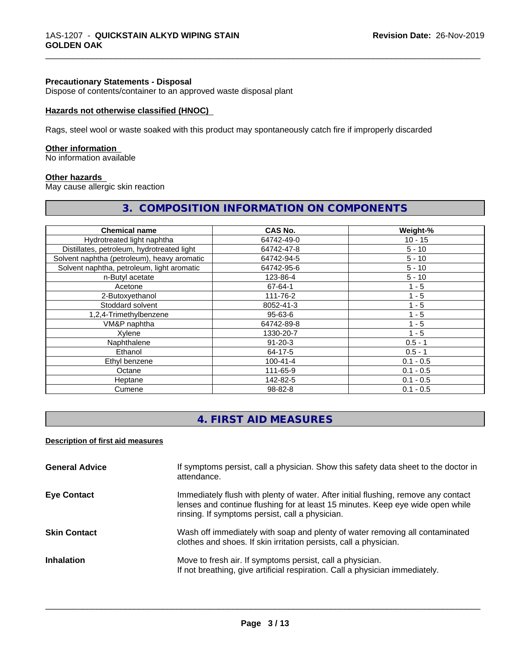#### **Precautionary Statements - Disposal**

Dispose of contents/container to an approved waste disposal plant

#### **Hazards not otherwise classified (HNOC)**

Rags, steel wool or waste soaked with this product may spontaneously catch fire if improperly discarded

#### **Other information**

No information available

#### **Other hazards**

May cause allergic skin reaction

# **3. COMPOSITION INFORMATION ON COMPONENTS**

\_\_\_\_\_\_\_\_\_\_\_\_\_\_\_\_\_\_\_\_\_\_\_\_\_\_\_\_\_\_\_\_\_\_\_\_\_\_\_\_\_\_\_\_\_\_\_\_\_\_\_\_\_\_\_\_\_\_\_\_\_\_\_\_\_\_\_\_\_\_\_\_\_\_\_\_\_\_\_\_\_\_\_\_\_\_\_\_\_\_\_\_\_

| <b>Chemical name</b>                        | <b>CAS No.</b> | Weight-%    |
|---------------------------------------------|----------------|-------------|
| Hydrotreated light naphtha                  | 64742-49-0     | $10 - 15$   |
| Distillates, petroleum, hydrotreated light  | 64742-47-8     | $5 - 10$    |
| Solvent naphtha (petroleum), heavy aromatic | 64742-94-5     | $5 - 10$    |
| Solvent naphtha, petroleum, light aromatic  | 64742-95-6     | $5 - 10$    |
| n-Butyl acetate                             | 123-86-4       | $5 - 10$    |
| Acetone                                     | 67-64-1        | $1 - 5$     |
| 2-Butoxyethanol                             | 111-76-2       | $1 - 5$     |
| Stoddard solvent                            | 8052-41-3      | $1 - 5$     |
| 1,2,4-Trimethylbenzene                      | $95 - 63 - 6$  | $1 - 5$     |
| VM&P naphtha                                | 64742-89-8     | $1 - 5$     |
| Xylene                                      | 1330-20-7      | $1 - 5$     |
| Naphthalene                                 | $91 - 20 - 3$  | $0.5 - 1$   |
| Ethanol                                     | 64-17-5        | $0.5 - 1$   |
| Ethyl benzene                               | $100 - 41 - 4$ | $0.1 - 0.5$ |
| Octane                                      | 111-65-9       | $0.1 - 0.5$ |
| Heptane                                     | 142-82-5       | $0.1 - 0.5$ |
| Cumene                                      | 98-82-8        | $0.1 - 0.5$ |

# **4. FIRST AID MEASURES**

#### **Description of first aid measures**

| <b>General Advice</b> | If symptoms persist, call a physician. Show this safety data sheet to the doctor in<br>attendance.                                                                                                                      |
|-----------------------|-------------------------------------------------------------------------------------------------------------------------------------------------------------------------------------------------------------------------|
| <b>Eye Contact</b>    | Immediately flush with plenty of water. After initial flushing, remove any contact<br>lenses and continue flushing for at least 15 minutes. Keep eye wide open while<br>rinsing. If symptoms persist, call a physician. |
| <b>Skin Contact</b>   | Wash off immediately with soap and plenty of water removing all contaminated<br>clothes and shoes. If skin irritation persists, call a physician.                                                                       |
| <b>Inhalation</b>     | Move to fresh air. If symptoms persist, call a physician.<br>If not breathing, give artificial respiration. Call a physician immediately.                                                                               |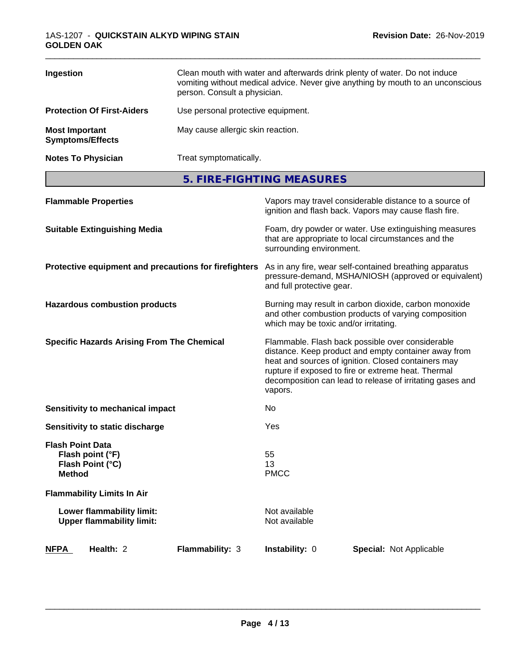| Ingestion                                        | Clean mouth with water and afterwards drink plenty of water. Do not induce<br>vomiting without medical advice. Never give anything by mouth to an unconscious<br>person. Consult a physician. |
|--------------------------------------------------|-----------------------------------------------------------------------------------------------------------------------------------------------------------------------------------------------|
| <b>Protection Of First-Aiders</b>                | Use personal protective equipment.                                                                                                                                                            |
| <b>Most Important</b><br><b>Symptoms/Effects</b> | May cause allergic skin reaction.                                                                                                                                                             |
| <b>Notes To Physician</b>                        | Treat symptomatically.                                                                                                                                                                        |

**5. FIRE-FIGHTING MEASURES**

|                                          | <b>Flammable Properties</b>                                   |                                                       |                                       | Vapors may travel considerable distance to a source of<br>ignition and flash back. Vapors may cause flash fire.                                                                                                                                                                     |  |
|------------------------------------------|---------------------------------------------------------------|-------------------------------------------------------|---------------------------------------|-------------------------------------------------------------------------------------------------------------------------------------------------------------------------------------------------------------------------------------------------------------------------------------|--|
|                                          | <b>Suitable Extinguishing Media</b>                           |                                                       | surrounding environment.              | Foam, dry powder or water. Use extinguishing measures<br>that are appropriate to local circumstances and the                                                                                                                                                                        |  |
|                                          |                                                               | Protective equipment and precautions for firefighters | and full protective gear.             | As in any fire, wear self-contained breathing apparatus<br>pressure-demand, MSHA/NIOSH (approved or equivalent)                                                                                                                                                                     |  |
|                                          | <b>Hazardous combustion products</b>                          |                                                       | which may be toxic and/or irritating. | Burning may result in carbon dioxide, carbon monoxide<br>and other combustion products of varying composition                                                                                                                                                                       |  |
|                                          | <b>Specific Hazards Arising From The Chemical</b>             |                                                       | vapors.                               | Flammable. Flash back possible over considerable<br>distance. Keep product and empty container away from<br>heat and sources of ignition. Closed containers may<br>rupture if exposed to fire or extreme heat. Thermal<br>decomposition can lead to release of irritating gases and |  |
|                                          | Sensitivity to mechanical impact                              |                                                       | No                                    |                                                                                                                                                                                                                                                                                     |  |
|                                          | Sensitivity to static discharge                               |                                                       | Yes                                   |                                                                                                                                                                                                                                                                                     |  |
| <b>Flash Point Data</b><br><b>Method</b> | Flash point (°F)<br>Flash Point (°C)                          |                                                       | 55<br>13<br><b>PMCC</b>               |                                                                                                                                                                                                                                                                                     |  |
|                                          | <b>Flammability Limits In Air</b>                             |                                                       |                                       |                                                                                                                                                                                                                                                                                     |  |
|                                          | Lower flammability limit:<br><b>Upper flammability limit:</b> |                                                       | Not available<br>Not available        |                                                                                                                                                                                                                                                                                     |  |
| <b>NFPA</b>                              | Health: 2                                                     | Flammability: 3                                       | Instability: 0                        | <b>Special: Not Applicable</b>                                                                                                                                                                                                                                                      |  |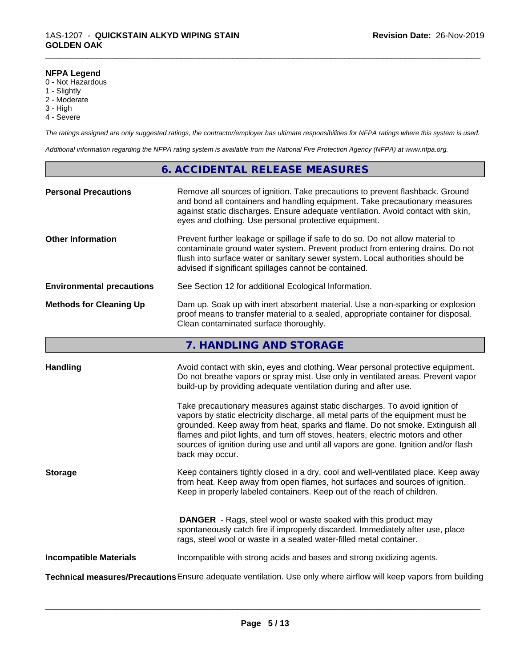#### **NFPA Legend**

- 0 Not Hazardous
- 1 Slightly
- 2 Moderate
- 3 High
- 4 Severe

*The ratings assigned are only suggested ratings, the contractor/employer has ultimate responsibilities for NFPA ratings where this system is used.*

\_\_\_\_\_\_\_\_\_\_\_\_\_\_\_\_\_\_\_\_\_\_\_\_\_\_\_\_\_\_\_\_\_\_\_\_\_\_\_\_\_\_\_\_\_\_\_\_\_\_\_\_\_\_\_\_\_\_\_\_\_\_\_\_\_\_\_\_\_\_\_\_\_\_\_\_\_\_\_\_\_\_\_\_\_\_\_\_\_\_\_\_\_

*Additional information regarding the NFPA rating system is available from the National Fire Protection Agency (NFPA) at www.nfpa.org.*

# **6. ACCIDENTAL RELEASE MEASURES**

| <b>Personal Precautions</b>      | Remove all sources of ignition. Take precautions to prevent flashback. Ground<br>and bond all containers and handling equipment. Take precautionary measures<br>against static discharges. Ensure adequate ventilation. Avoid contact with skin,<br>eyes and clothing. Use personal protective equipment.  |
|----------------------------------|------------------------------------------------------------------------------------------------------------------------------------------------------------------------------------------------------------------------------------------------------------------------------------------------------------|
| <b>Other Information</b>         | Prevent further leakage or spillage if safe to do so. Do not allow material to<br>contaminate ground water system. Prevent product from entering drains. Do not<br>flush into surface water or sanitary sewer system. Local authorities should be<br>advised if significant spillages cannot be contained. |
| <b>Environmental precautions</b> | See Section 12 for additional Ecological Information.                                                                                                                                                                                                                                                      |
| <b>Methods for Cleaning Up</b>   | Dam up. Soak up with inert absorbent material. Use a non-sparking or explosion<br>proof means to transfer material to a sealed, appropriate container for disposal.<br>Clean contaminated surface thoroughly.                                                                                              |

# **7. HANDLING AND STORAGE**

| <b>Handling</b>               | Avoid contact with skin, eyes and clothing. Wear personal protective equipment.<br>Do not breathe vapors or spray mist. Use only in ventilated areas. Prevent vapor<br>build-up by providing adequate ventilation during and after use.                                                                                                                                                                                                        |
|-------------------------------|------------------------------------------------------------------------------------------------------------------------------------------------------------------------------------------------------------------------------------------------------------------------------------------------------------------------------------------------------------------------------------------------------------------------------------------------|
|                               | Take precautionary measures against static discharges. To avoid ignition of<br>vapors by static electricity discharge, all metal parts of the equipment must be<br>grounded. Keep away from heat, sparks and flame. Do not smoke. Extinguish all<br>flames and pilot lights, and turn off stoves, heaters, electric motors and other<br>sources of ignition during use and until all vapors are gone. Ignition and/or flash<br>back may occur. |
| <b>Storage</b>                | Keep containers tightly closed in a dry, cool and well-ventilated place. Keep away<br>from heat. Keep away from open flames, hot surfaces and sources of ignition.<br>Keep in properly labeled containers. Keep out of the reach of children.                                                                                                                                                                                                  |
|                               | <b>DANGER</b> - Rags, steel wool or waste soaked with this product may<br>spontaneously catch fire if improperly discarded. Immediately after use, place<br>rags, steel wool or waste in a sealed water-filled metal container.                                                                                                                                                                                                                |
| <b>Incompatible Materials</b> | Incompatible with strong acids and bases and strong oxidizing agents.                                                                                                                                                                                                                                                                                                                                                                          |
|                               | Technical measures/Precautions Ensure adequate ventilation. Use only where airflow will keep vapors from building                                                                                                                                                                                                                                                                                                                              |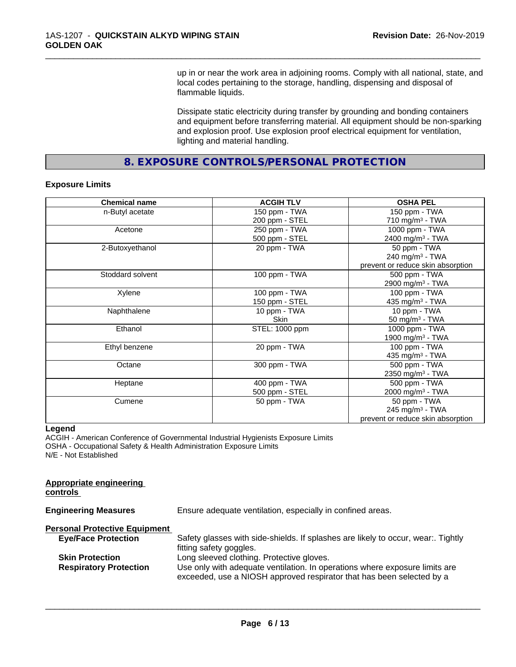up in or near the work area in adjoining rooms. Comply with all national, state, and local codes pertaining to the storage, handling, dispensing and disposal of flammable liquids.

\_\_\_\_\_\_\_\_\_\_\_\_\_\_\_\_\_\_\_\_\_\_\_\_\_\_\_\_\_\_\_\_\_\_\_\_\_\_\_\_\_\_\_\_\_\_\_\_\_\_\_\_\_\_\_\_\_\_\_\_\_\_\_\_\_\_\_\_\_\_\_\_\_\_\_\_\_\_\_\_\_\_\_\_\_\_\_\_\_\_\_\_\_

Dissipate static electricity during transfer by grounding and bonding containers and equipment before transferring material. All equipment should be non-sparking and explosion proof. Use explosion proof electrical equipment for ventilation, lighting and material handling.

**8. EXPOSURE CONTROLS/PERSONAL PROTECTION**

#### **Exposure Limits**

| <b>Chemical name</b> | <b>ACGIH TLV</b> | <b>OSHA PEL</b>                   |
|----------------------|------------------|-----------------------------------|
| n-Butyl acetate      | 150 ppm - TWA    | 150 ppm - TWA                     |
|                      | 200 ppm - STEL   | 710 mg/m $3$ - TWA                |
| Acetone              | 250 ppm - TWA    | 1000 ppm - TWA                    |
|                      | 500 ppm - STEL   | 2400 mg/m <sup>3</sup> - TWA      |
| 2-Butoxyethanol      | 20 ppm - TWA     | 50 ppm - TWA                      |
|                      |                  | 240 mg/m $3$ - TWA                |
|                      |                  | prevent or reduce skin absorption |
| Stoddard solvent     | 100 ppm - TWA    | 500 ppm - TWA                     |
|                      |                  | 2900 mg/m <sup>3</sup> - TWA      |
| Xylene               | 100 ppm - TWA    | 100 ppm - TWA                     |
|                      | 150 ppm - STEL   | 435 mg/m $3$ - TWA                |
| Naphthalene          | 10 ppm - TWA     | 10 ppm - TWA                      |
|                      | <b>Skin</b>      | 50 mg/m <sup>3</sup> - TWA        |
| Ethanol              | STEL: 1000 ppm   | 1000 ppm - TWA                    |
|                      |                  | 1900 mg/m <sup>3</sup> - TWA      |
| Ethyl benzene        | 20 ppm - TWA     | 100 ppm - TWA                     |
|                      |                  | 435 mg/m $3$ - TWA                |
| Octane               | 300 ppm - TWA    | 500 ppm - TWA                     |
|                      |                  | 2350 mg/m <sup>3</sup> - TWA      |
| Heptane              | 400 ppm - TWA    | 500 ppm - TWA                     |
|                      | 500 ppm - STEL   | 2000 mg/m <sup>3</sup> - TWA      |
| Cumene               | 50 ppm - TWA     | 50 ppm - TWA                      |
|                      |                  | 245 mg/m <sup>3</sup> - TWA       |
|                      |                  | prevent or reduce skin absorption |

#### **Legend**

ACGIH - American Conference of Governmental Industrial Hygienists Exposure Limits OSHA - Occupational Safety & Health Administration Exposure Limits N/E - Not Established

| <b>Appropriate engineering</b><br>controls |                                                                                                                                                      |
|--------------------------------------------|------------------------------------------------------------------------------------------------------------------------------------------------------|
| <b>Engineering Measures</b>                | Ensure adequate ventilation, especially in confined areas.                                                                                           |
| <b>Personal Protective Equipment</b>       |                                                                                                                                                      |
| <b>Eye/Face Protection</b>                 | Safety glasses with side-shields. If splashes are likely to occur, wear Tightly<br>fitting safety goggles.                                           |
| <b>Skin Protection</b>                     | Long sleeved clothing. Protective gloves.                                                                                                            |
| <b>Respiratory Protection</b>              | Use only with adequate ventilation. In operations where exposure limits are<br>exceeded, use a NIOSH approved respirator that has been selected by a |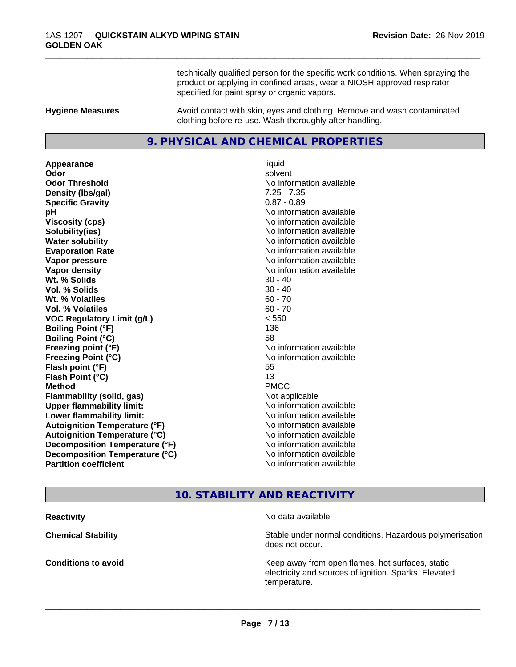technically qualified person for the specific work conditions. When spraying the product or applying in confined areas, wear a NIOSH approved respirator specified for paint spray or organic vapors.

\_\_\_\_\_\_\_\_\_\_\_\_\_\_\_\_\_\_\_\_\_\_\_\_\_\_\_\_\_\_\_\_\_\_\_\_\_\_\_\_\_\_\_\_\_\_\_\_\_\_\_\_\_\_\_\_\_\_\_\_\_\_\_\_\_\_\_\_\_\_\_\_\_\_\_\_\_\_\_\_\_\_\_\_\_\_\_\_\_\_\_\_\_

**Hygiene Measures** Avoid contact with skin, eyes and clothing. Remove and wash contaminated clothing before re-use. Wash thoroughly after handling.

# **9. PHYSICAL AND CHEMICAL PROPERTIES**

**Appearance** liquid **Odor** solvent **Odor Threshold No information available No information available Density (lbs/gal)** 7.25 - 7.35 **Specific Gravity** 0.87 - 0.89 **pH** No information available **Viscosity (cps)** No information available **Solubility(ies)** No information available **Water solubility Water solubility Water solubility Water solubility Water solubility Water solution Evaporation Rate No information available No information available Vapor pressure** No information available **No information** available **Vapor density No information available No information available Wt.** % Solids 30 - 40 **Vol. % Solids** 30 - 40 **Wt. % Volatiles** 60 - 70 **Vol. % Volatiles** 60 - 70 **VOC Regulatory Limit (g/L)** < 550 **Boiling Point (°F)** 136 **Boiling Point (°C)** 58 **Freezing point (°F)** No information available **Freezing Point (°C)** No information available **Flash point (°F)** 55 **Flash Point (°C)** 13 **Method** PMCC **Flammability (solid, gas)** Not applicable **Upper flammability limit:** No information available **Lower flammability limit:** No information available **Autoignition Temperature (°F)** No information available **Autoignition Temperature (°C)** No information available **Decomposition Temperature (°F)** No information available **Decomposition Temperature (°C)** No information available<br> **Partition coefficient Partition available** 

**No information available** 

# **10. STABILITY AND REACTIVITY**

**Reactivity No data available Chemical Stability Stability** Stable under normal conditions. Hazardous polymerisation does not occur. **Conditions to avoid EXECUTE:** The Metal Metal Metal Metal Metal Metal Metal Metal Metal Metal Metal Metal Metal Metal Metal Metal Metal Metal Metal Metal Metal Metal Metal Metal Metal Metal Metal Metal Metal Metal Metal electricity and sources of ignition. Sparks. Elevated temperature.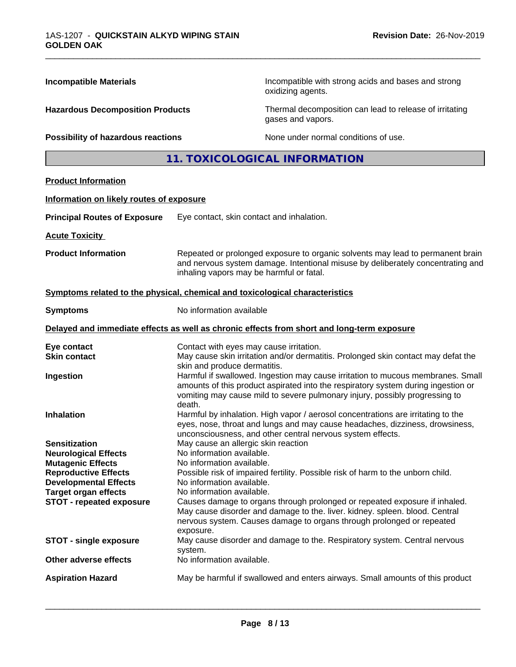| <b>Incompatible Materials</b>                                                                                                                                                                                    |                                                                                                                                                                      | Incompatible with strong acids and bases and strong<br>oxidizing agents.                                                                                                                                                                                                                                              |
|------------------------------------------------------------------------------------------------------------------------------------------------------------------------------------------------------------------|----------------------------------------------------------------------------------------------------------------------------------------------------------------------|-----------------------------------------------------------------------------------------------------------------------------------------------------------------------------------------------------------------------------------------------------------------------------------------------------------------------|
| <b>Hazardous Decomposition Products</b>                                                                                                                                                                          |                                                                                                                                                                      | Thermal decomposition can lead to release of irritating<br>gases and vapors.                                                                                                                                                                                                                                          |
| Possibility of hazardous reactions                                                                                                                                                                               |                                                                                                                                                                      | None under normal conditions of use.                                                                                                                                                                                                                                                                                  |
|                                                                                                                                                                                                                  |                                                                                                                                                                      | 11. TOXICOLOGICAL INFORMATION                                                                                                                                                                                                                                                                                         |
| <b>Product Information</b>                                                                                                                                                                                       |                                                                                                                                                                      |                                                                                                                                                                                                                                                                                                                       |
| Information on likely routes of exposure                                                                                                                                                                         |                                                                                                                                                                      |                                                                                                                                                                                                                                                                                                                       |
| <b>Principal Routes of Exposure</b>                                                                                                                                                                              | Eye contact, skin contact and inhalation.                                                                                                                            |                                                                                                                                                                                                                                                                                                                       |
| <b>Acute Toxicity</b>                                                                                                                                                                                            |                                                                                                                                                                      |                                                                                                                                                                                                                                                                                                                       |
| <b>Product Information</b>                                                                                                                                                                                       | inhaling vapors may be harmful or fatal.                                                                                                                             | Repeated or prolonged exposure to organic solvents may lead to permanent brain<br>and nervous system damage. Intentional misuse by deliberately concentrating and                                                                                                                                                     |
| Symptoms related to the physical, chemical and toxicological characteristics                                                                                                                                     |                                                                                                                                                                      |                                                                                                                                                                                                                                                                                                                       |
| <b>Symptoms</b>                                                                                                                                                                                                  | No information available                                                                                                                                             |                                                                                                                                                                                                                                                                                                                       |
|                                                                                                                                                                                                                  |                                                                                                                                                                      | Delayed and immediate effects as well as chronic effects from short and long-term exposure                                                                                                                                                                                                                            |
| Eye contact<br><b>Skin contact</b>                                                                                                                                                                               | Contact with eyes may cause irritation.<br>skin and produce dermatitis.                                                                                              | May cause skin irritation and/or dermatitis. Prolonged skin contact may defat the                                                                                                                                                                                                                                     |
| Ingestion                                                                                                                                                                                                        | death.                                                                                                                                                               | Harmful if swallowed. Ingestion may cause irritation to mucous membranes. Small<br>amounts of this product aspirated into the respiratory system during ingestion or<br>vomiting may cause mild to severe pulmonary injury, possibly progressing to                                                                   |
| <b>Inhalation</b>                                                                                                                                                                                                |                                                                                                                                                                      | Harmful by inhalation. High vapor / aerosol concentrations are irritating to the<br>eyes, nose, throat and lungs and may cause headaches, dizziness, drowsiness,<br>unconsciousness, and other central nervous system effects.                                                                                        |
| <b>Sensitization</b><br><b>Neurological Effects</b><br><b>Mutagenic Effects</b><br><b>Reproductive Effects</b><br><b>Developmental Effects</b><br><b>Target organ effects</b><br><b>STOT - repeated exposure</b> | May cause an allergic skin reaction<br>No information available.<br>No information available.<br>No information available.<br>No information available.<br>exposure. | Possible risk of impaired fertility. Possible risk of harm to the unborn child.<br>Causes damage to organs through prolonged or repeated exposure if inhaled.<br>May cause disorder and damage to the. liver. kidney. spleen. blood. Central<br>nervous system. Causes damage to organs through prolonged or repeated |
| <b>STOT - single exposure</b>                                                                                                                                                                                    | system.                                                                                                                                                              | May cause disorder and damage to the. Respiratory system. Central nervous                                                                                                                                                                                                                                             |
| Other adverse effects                                                                                                                                                                                            | No information available.                                                                                                                                            |                                                                                                                                                                                                                                                                                                                       |
| <b>Aspiration Hazard</b>                                                                                                                                                                                         |                                                                                                                                                                      | May be harmful if swallowed and enters airways. Small amounts of this product                                                                                                                                                                                                                                         |

\_\_\_\_\_\_\_\_\_\_\_\_\_\_\_\_\_\_\_\_\_\_\_\_\_\_\_\_\_\_\_\_\_\_\_\_\_\_\_\_\_\_\_\_\_\_\_\_\_\_\_\_\_\_\_\_\_\_\_\_\_\_\_\_\_\_\_\_\_\_\_\_\_\_\_\_\_\_\_\_\_\_\_\_\_\_\_\_\_\_\_\_\_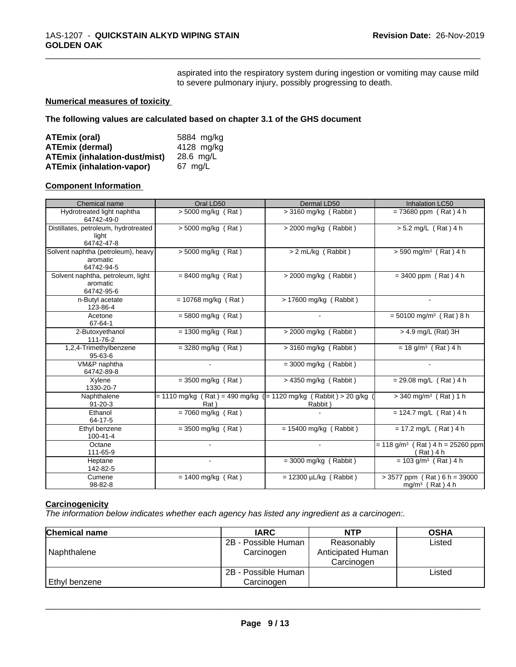aspirated into the respiratory system during ingestion or vomiting may cause mild to severe pulmonary injury, possibly progressing to death.

\_\_\_\_\_\_\_\_\_\_\_\_\_\_\_\_\_\_\_\_\_\_\_\_\_\_\_\_\_\_\_\_\_\_\_\_\_\_\_\_\_\_\_\_\_\_\_\_\_\_\_\_\_\_\_\_\_\_\_\_\_\_\_\_\_\_\_\_\_\_\_\_\_\_\_\_\_\_\_\_\_\_\_\_\_\_\_\_\_\_\_\_\_

# **Numerical measures of toxicity**

**The following values are calculated based on chapter 3.1 of the GHS document**

| <b>ATEmix (oral)</b>                 | 5884 mg/ka |
|--------------------------------------|------------|
| <b>ATEmix (dermal)</b>               | 4128 mg/kg |
| <b>ATEmix (inhalation-dust/mist)</b> | 28.6 ma/L  |
| <b>ATEmix (inhalation-vapor)</b>     | 67 ma/L    |

#### **Component Information**

| Chemical name                                                | Oral LD50                                                                   | Dermal LD50                 | <b>Inhalation LC50</b>                                        |
|--------------------------------------------------------------|-----------------------------------------------------------------------------|-----------------------------|---------------------------------------------------------------|
| Hydrotreated light naphtha<br>64742-49-0                     | $> 5000$ mg/kg (Rat)                                                        | $>$ 3160 mg/kg (Rabbit)     | $= 73680$ ppm (Rat) 4 h                                       |
| Distillates, petroleum, hydrotreated<br>light<br>64742-47-8  | > 5000 mg/kg (Rat)                                                          | > 2000 mg/kg (Rabbit)       | > 5.2 mg/L (Rat) 4 h                                          |
| Solvent naphtha (petroleum), heavy<br>aromatic<br>64742-94-5 | > 5000 mg/kg (Rat)                                                          | > 2 mL/kg (Rabbit)          | $> 590$ mg/m <sup>3</sup> (Rat) 4 h                           |
| Solvent naphtha, petroleum, light<br>aromatic<br>64742-95-6  | $= 8400$ mg/kg (Rat)                                                        | > 2000 mg/kg (Rabbit)       | $= 3400$ ppm (Rat) 4 h                                        |
| n-Butyl acetate<br>123-86-4                                  | $= 10768$ mg/kg (Rat)                                                       | $> 17600$ mg/kg (Rabbit)    |                                                               |
| Acetone<br>67-64-1                                           | $= 5800$ mg/kg (Rat)                                                        |                             | $= 50100$ mg/m <sup>3</sup> (Rat) 8 h                         |
| 2-Butoxyethanol<br>111-76-2                                  | $= 1300$ mg/kg (Rat)                                                        | $>$ 2000 mg/kg (Rabbit)     | > 4.9 mg/L (Rat) 3H                                           |
| 1,2,4-Trimethylbenzene<br>$95 - 63 - 6$                      | $=$ 3280 mg/kg (Rat)                                                        | $>$ 3160 mg/kg (Rabbit)     | $= 18$ g/m <sup>3</sup> (Rat) 4 h                             |
| VM&P naphtha<br>64742-89-8                                   |                                                                             | $=$ 3000 mg/kg (Rabbit)     |                                                               |
| Xylene<br>1330-20-7                                          | $=$ 3500 mg/kg (Rat)                                                        | $>$ 4350 mg/kg (Rabbit)     | $= 29.08$ mg/L (Rat) 4 h                                      |
| Naphthalene<br>$91 - 20 - 3$                                 | = 1110 mg/kg ( Rat ) = 490 mg/kg ( = 1120 mg/kg ( Rabbit ) > 20 g/kg<br>Rat | Rabbit)                     | $>$ 340 mg/m <sup>3</sup> (Rat) 1 h                           |
| Ethanol<br>64-17-5                                           | $= 7060$ mg/kg (Rat)                                                        |                             | $= 124.7$ mg/L (Rat) 4 h                                      |
| Ethyl benzene<br>$100 - 41 - 4$                              | $=$ 3500 mg/kg (Rat)                                                        | $= 15400$ mg/kg (Rabbit)    | $= 17.2$ mg/L (Rat) 4 h                                       |
| Octane<br>111-65-9                                           |                                                                             |                             | $= 118$ g/m <sup>3</sup> (Rat) 4 h = 25260 ppm<br>(Rat) 4 h   |
| Heptane<br>142-82-5                                          |                                                                             | $=$ 3000 mg/kg (Rabbit)     | $= 103$ g/m <sup>3</sup> (Rat) 4 h                            |
| Cumene<br>98-82-8                                            | $= 1400$ mg/kg (Rat)                                                        | $= 12300 \mu L/kg$ (Rabbit) | $>$ 3577 ppm (Rat) 6 h = 39000<br>mg/m <sup>3</sup> (Rat) 4 h |

# **Carcinogenicity**

*The information below indicateswhether each agency has listed any ingredient as a carcinogen:.*

| <b>Chemical name</b> | <b>IARC</b>         | <b>NTP</b>        | <b>OSHA</b> |
|----------------------|---------------------|-------------------|-------------|
|                      | 2B - Possible Human | Reasonably        | Listed      |
| Naphthalene          | Carcinogen          | Anticipated Human |             |
|                      |                     | Carcinogen        |             |
|                      | 2B - Possible Human |                   | Listed      |
| Ethyl benzene        | Carcinogen          |                   |             |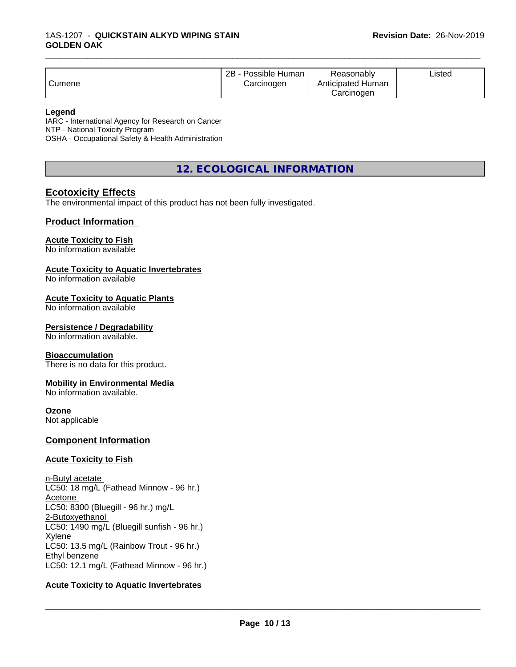| Anticipated Human<br>Cumene<br>Carcinogen<br>Carcinogen |
|---------------------------------------------------------|
|---------------------------------------------------------|

\_\_\_\_\_\_\_\_\_\_\_\_\_\_\_\_\_\_\_\_\_\_\_\_\_\_\_\_\_\_\_\_\_\_\_\_\_\_\_\_\_\_\_\_\_\_\_\_\_\_\_\_\_\_\_\_\_\_\_\_\_\_\_\_\_\_\_\_\_\_\_\_\_\_\_\_\_\_\_\_\_\_\_\_\_\_\_\_\_\_\_\_\_

#### **Legend**

IARC - International Agency for Research on Cancer NTP - National Toxicity Program OSHA - Occupational Safety & Health Administration

**12. ECOLOGICAL INFORMATION**

# **Ecotoxicity Effects**

The environmental impact of this product has not been fully investigated.

## **Product Information**

## **Acute Toxicity to Fish**

No information available

#### **Acute Toxicity to Aquatic Invertebrates**

No information available

#### **Acute Toxicity to Aquatic Plants**

No information available

#### **Persistence / Degradability**

No information available.

#### **Bioaccumulation**

There is no data for this product.

#### **Mobility in Environmental Media**

No information available.

#### **Ozone**

Not applicable

#### **Component Information**

#### **Acute Toxicity to Fish**

n-Butyl acetate LC50: 18 mg/L (Fathead Minnow - 96 hr.) Acetone LC50: 8300 (Bluegill - 96 hr.) mg/L 2-Butoxyethanol LC50: 1490 mg/L (Bluegill sunfish - 96 hr.) Xylene LC50: 13.5 mg/L (Rainbow Trout - 96 hr.) Ethyl benzene LC50: 12.1 mg/L (Fathead Minnow - 96 hr.)

#### **Acute Toxicity to Aquatic Invertebrates**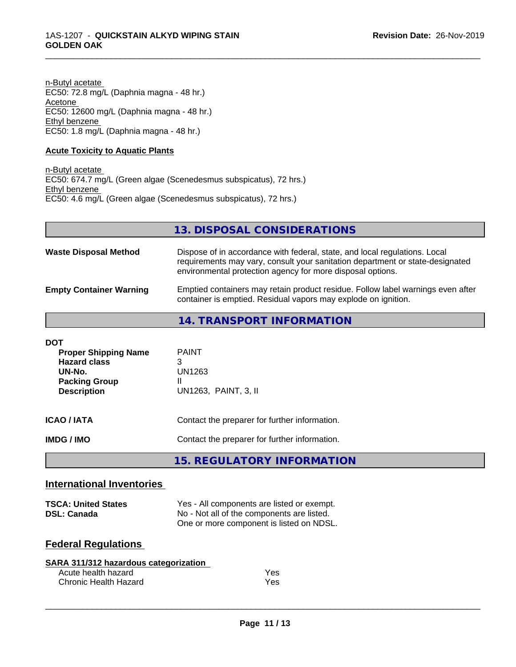n-Butyl acetate EC50: 72.8 mg/L (Daphnia magna - 48 hr.) Acetone EC50: 12600 mg/L (Daphnia magna - 48 hr.) Ethyl benzene EC50: 1.8 mg/L (Daphnia magna - 48 hr.)

## **Acute Toxicity to Aquatic Plants**

n-Butyl acetate EC50: 674.7 mg/L (Green algae (Scenedesmus subspicatus), 72 hrs.) Ethyl benzene EC50: 4.6 mg/L (Green algae (Scenedesmus subspicatus), 72 hrs.)

| 13. DISPOSAL CONSIDERATIONS |
|-----------------------------|
|-----------------------------|

\_\_\_\_\_\_\_\_\_\_\_\_\_\_\_\_\_\_\_\_\_\_\_\_\_\_\_\_\_\_\_\_\_\_\_\_\_\_\_\_\_\_\_\_\_\_\_\_\_\_\_\_\_\_\_\_\_\_\_\_\_\_\_\_\_\_\_\_\_\_\_\_\_\_\_\_\_\_\_\_\_\_\_\_\_\_\_\_\_\_\_\_\_

| <b>Waste Disposal Method</b>   | Dispose of in accordance with federal, state, and local regulations. Local<br>requirements may vary, consult your sanitation department or state-designated<br>environmental protection agency for more disposal options. |
|--------------------------------|---------------------------------------------------------------------------------------------------------------------------------------------------------------------------------------------------------------------------|
| <b>Empty Container Warning</b> | Emptied containers may retain product residue. Follow label warnings even after<br>container is emptied. Residual vapors may explode on ignition.                                                                         |

**14. TRANSPORT INFORMATION**

| <b>DOT</b><br><b>Proper Shipping Name</b><br><b>Hazard class</b><br>UN-No.<br><b>Packing Group</b><br><b>Description</b> | <b>PAINT</b><br>3<br>UN1263<br>Ш<br>UN1263, PAINT, 3, II                                       |
|--------------------------------------------------------------------------------------------------------------------------|------------------------------------------------------------------------------------------------|
| <b>ICAO / IATA</b><br><b>IMDG/IMO</b>                                                                                    | Contact the preparer for further information.<br>Contact the preparer for further information. |
|                                                                                                                          | <b>15. REGULATORY INFORMATION</b>                                                              |

# **International Inventories**

| <b>TSCA: United States</b> | Yes - All components are listed or exempt. |
|----------------------------|--------------------------------------------|
| <b>DSL: Canada</b>         | No - Not all of the components are listed. |
|                            | One or more component is listed on NDSL.   |

# **Federal Regulations**

| SARA 311/312 hazardous categorization |            |
|---------------------------------------|------------|
| Acute health hazard                   | <b>Yes</b> |
| Chronic Health Hazard                 | Yes        |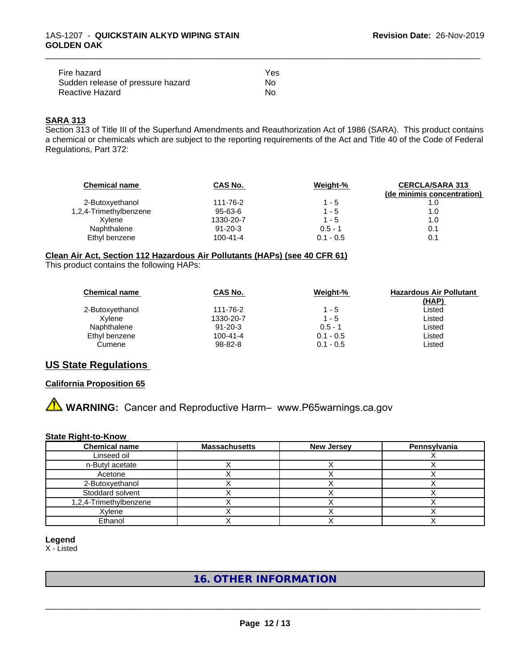| Fire hazard                       | Yes |
|-----------------------------------|-----|
| Sudden release of pressure hazard | Nο  |
| Reactive Hazard                   | Nο  |

# **SARA 313**

Section 313 of Title III of the Superfund Amendments and Reauthorization Act of 1986 (SARA). This product contains a chemical or chemicals which are subject to the reporting requirements of the Act and Title 40 of the Code of Federal Regulations, Part 372:

\_\_\_\_\_\_\_\_\_\_\_\_\_\_\_\_\_\_\_\_\_\_\_\_\_\_\_\_\_\_\_\_\_\_\_\_\_\_\_\_\_\_\_\_\_\_\_\_\_\_\_\_\_\_\_\_\_\_\_\_\_\_\_\_\_\_\_\_\_\_\_\_\_\_\_\_\_\_\_\_\_\_\_\_\_\_\_\_\_\_\_\_\_

| <b>Chemical name</b>   | CAS No.        | Weight-%    | <b>CERCLA/SARA 313</b><br>(de minimis concentration) |
|------------------------|----------------|-------------|------------------------------------------------------|
| 2-Butoxyethanol        | 111-76-2       | $1 - 5$     | 1.0                                                  |
| 1,2,4-Trimethylbenzene | $95 - 63 - 6$  | $1 - 5$     | 1.0                                                  |
| Xvlene                 | 1330-20-7      | $1 - 5$     | 1.0                                                  |
| Naphthalene            | $91 - 20 - 3$  | $0.5 - 1$   | 0.1                                                  |
| Ethyl benzene          | $100 - 41 - 4$ | $0.1 - 0.5$ | 0.1                                                  |

#### **Clean Air Act,Section 112 Hazardous Air Pollutants (HAPs) (see 40 CFR 61)**

This product contains the following HAPs:

| <b>Chemical name</b> | CAS No.        | Weight-%    | <b>Hazardous Air Pollutant</b><br>(HAP) |
|----------------------|----------------|-------------|-----------------------------------------|
| 2-Butoxyethanol      | 111-76-2       | $1 - 5$     | Listed                                  |
| Xvlene               | 1330-20-7      | $1 - 5$     | Listed                                  |
| Naphthalene          | $91 - 20 - 3$  | $0.5 - 1$   | Listed                                  |
| Ethyl benzene        | $100 - 41 - 4$ | $0.1 - 0.5$ | Listed                                  |
| Cumene               | 98-82-8        | $0.1 - 0.5$ | Listed                                  |

# **US State Regulations**

#### **California Proposition 65**

**A WARNING:** Cancer and Reproductive Harm– www.P65warnings.ca.gov

#### **State Right-to-Know**

| <b>Chemical name</b>   | <b>Massachusetts</b> | <b>New Jersey</b> | Pennsylvania |
|------------------------|----------------------|-------------------|--------------|
| Linseed oil            |                      |                   |              |
| n-Butyl acetate        |                      |                   |              |
| Acetone                |                      |                   |              |
| 2-Butoxyethanol        |                      |                   |              |
| Stoddard solvent       |                      |                   |              |
| 1,2,4-Trimethylbenzene |                      |                   |              |
| Xylene                 |                      |                   |              |
| Ethanol                |                      |                   |              |

**Legend**

X - Listed

# **16. OTHER INFORMATION**